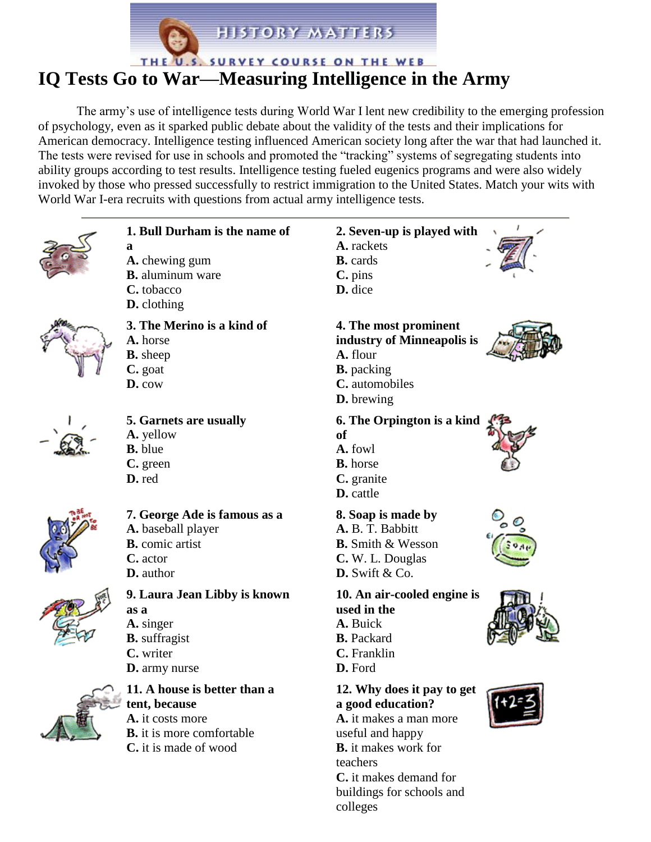

# **IQ Tests Go to War—Measuring Intelligence in the Army**

The army's use of intelligence tests during World War I lent new credibility to the emerging profession of psychology, even as it sparked public debate about the validity of the tests and their implications for American democracy. Intelligence testing influenced American society long after the war that had launched it. The tests were revised for use in schools and promoted the "tracking" systems of segregating students into ability groups according to test results. Intelligence testing fueled eugenics programs and were also widely invoked by those who pressed successfully to restrict immigration to the United States. Match your wits with World War I-era recruits with questions from actual army intelligence tests.